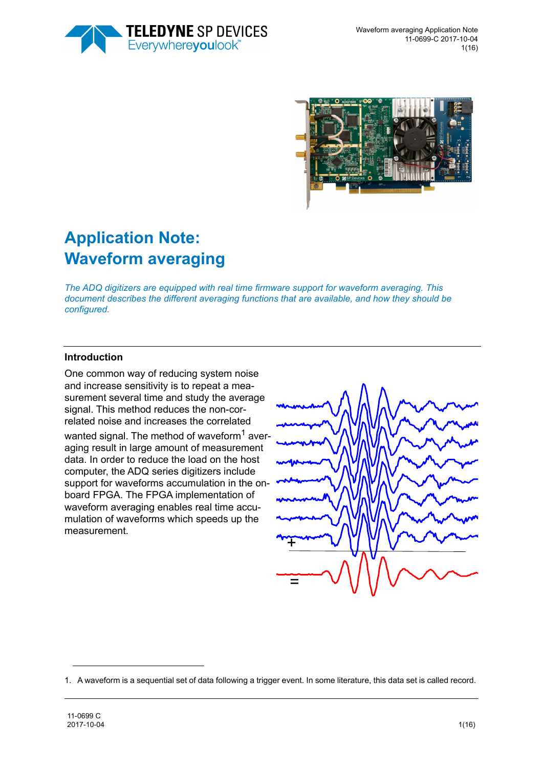



# **Application Note: Waveform averaging**

*The ADQ digitizers are equipped with real time firmware support for waveform averaging. This document describes the different averaging functions that are available, and how they should be configured.* 

#### **Introduction**

One common way of reducing system noise and increase sensitivity is to repeat a measurement several time and study the average signal. This method reduces the non-correlated noise and increases the correlated wanted signal. The method of waveform<sup>1</sup> averaging result in large amount of measurement data. In order to reduce the load on the host computer, the ADQ series digitizers include support for waveforms accumulation in the onboard FPGA. The FPGA implementation of waveform averaging enables real time accumulation of waveforms which speeds up the measurement.



<sup>1.</sup> A waveform is a sequential set of data following a trigger event. In some literature, this data set is called record.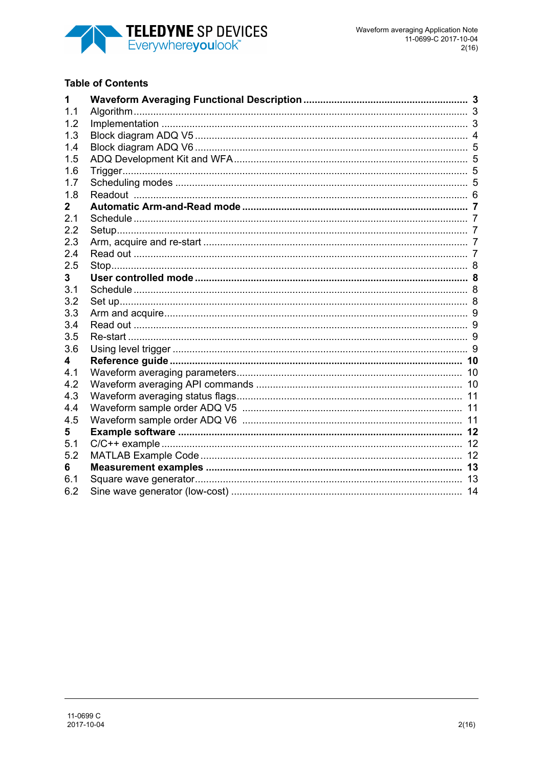

#### **Table of Contents**

| 1   |  |
|-----|--|
| 1.1 |  |
| 1.2 |  |
| 1.3 |  |
| 1.4 |  |
| 1.5 |  |
| 1.6 |  |
| 1.7 |  |
| 1.8 |  |
| 2   |  |
| 2.1 |  |
| 2.2 |  |
| 2.3 |  |
| 2.4 |  |
| 2.5 |  |
| 3   |  |
| 3.1 |  |
| 3.2 |  |
| 3.3 |  |
| 3.4 |  |
| 3.5 |  |
| 3.6 |  |
| 4   |  |
| 4.1 |  |
| 4.2 |  |
| 4.3 |  |
| 4.4 |  |
| 4.5 |  |
| 5   |  |
| 5.1 |  |
| 5.2 |  |
| 6   |  |
| 6.1 |  |
| 6.2 |  |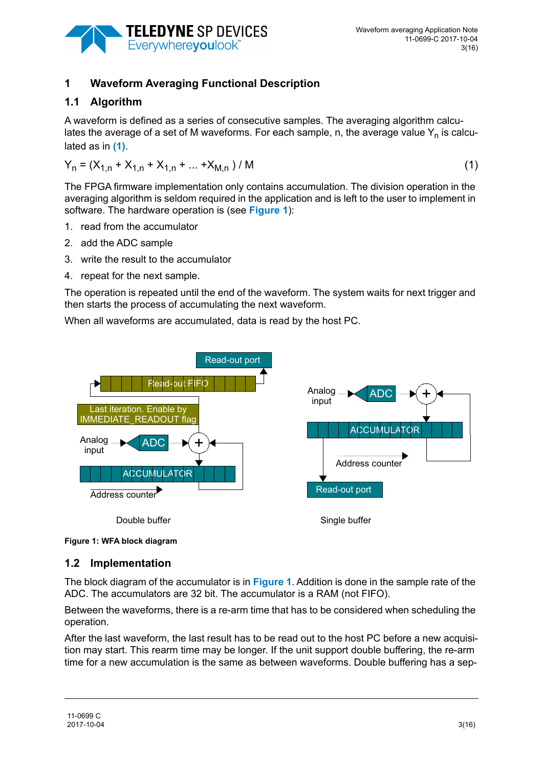

# **1 Waveform Averaging Functional Description**

## **1.1 Algorithm**

A waveform is defined as a series of consecutive samples. The averaging algorithm calculates the average of a set of M waveforms. For each sample, n, the average value  $Y_n$  is calculated as in **[\(1\)](#page-2-0)**.

<span id="page-2-0"></span>
$$
Y_n = (X_{1,n} + X_{1,n} + X_{1,n} + ... + X_{M,n}) / M
$$
 (1)

The FPGA firmware implementation only contains accumulation. The division operation in the averaging algorithm is seldom required in the application and is left to the user to implement in software. The hardware operation is (see **[Figure 1](#page-2-1)**):

- 1. read from the accumulator
- 2. add the ADC sample
- 3. write the result to the accumulator
- 4. repeat for the next sample.

The operation is repeated until the end of the waveform. The system waits for next trigger and then starts the process of accumulating the next waveform.

When all waveforms are accumulated, data is read by the host PC.



<span id="page-2-1"></span>**Figure 1: WFA block diagram** 

#### **1.2 Implementation**

The block diagram of the accumulator is in **[Figure 1](#page-2-1)**. Addition is done in the sample rate of the ADC. The accumulators are 32 bit. The accumulator is a RAM (not FIFO).

Between the waveforms, there is a re-arm time that has to be considered when scheduling the operation.

After the last waveform, the last result has to be read out to the host PC before a new acquisition may start. This rearm time may be longer. If the unit support double buffering, the re-arm time for a new accumulation is the same as between waveforms. Double buffering has a sep-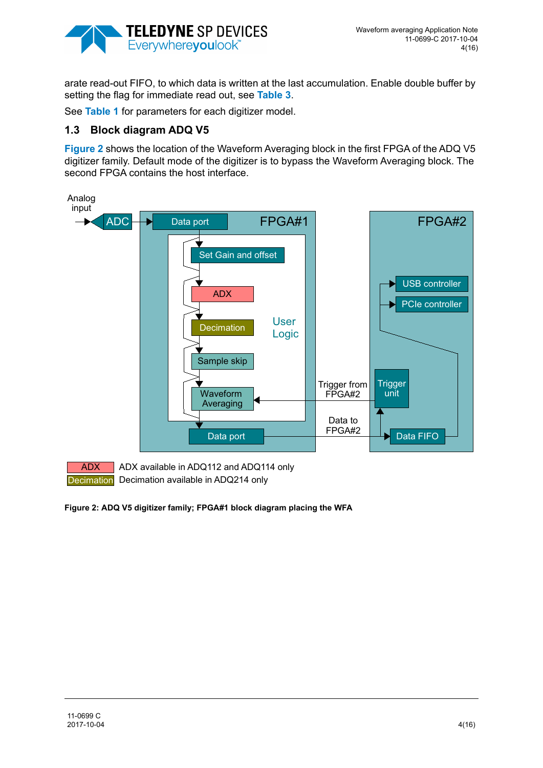

arate read-out FIFO, to which data is written at the last accumulation. Enable double buffer by setting the flag for immediate read out, see **[Table 3](#page-11-0)**.

See **[Table 1](#page-10-0)** for parameters for each digitizer model.

## **1.3 Block diagram ADQ V5**

**[Figure 2](#page-3-0)** shows the location of the Waveform Averaging block in the first FPGA of the ADQ V5 digitizer family. Default mode of the digitizer is to bypass the Waveform Averaging block. The second FPGA contains the host interface.



ADX ADX available in ADQ112 and ADQ114 only Decimation Decimation available in ADQ214 only

<span id="page-3-0"></span>**Figure 2: ADQ V5 digitizer family; FPGA#1 block diagram placing the WFA**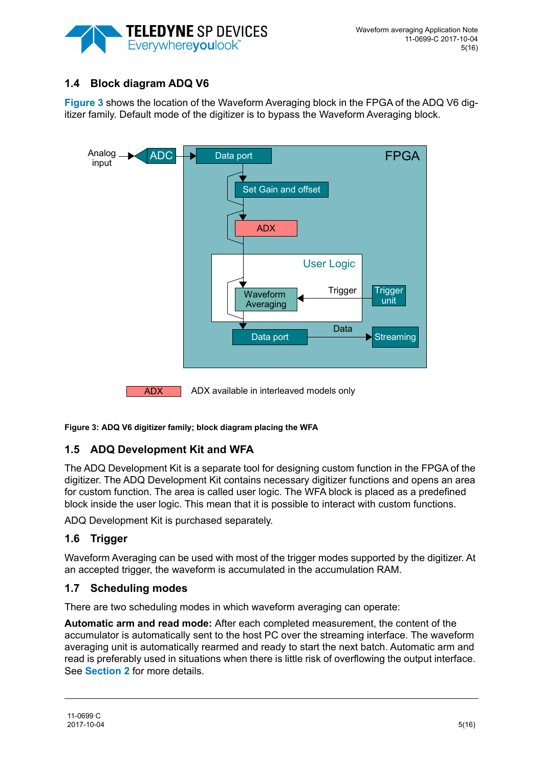

# **1.4 Block diagram ADQ V6**

**[Figure 3](#page-4-0)** shows the location of the Waveform Averaging block in the FPGA of the ADQ V6 digitizer family. Default mode of the digitizer is to bypass the Waveform Averaging block.



<span id="page-4-0"></span>**Figure 3: ADQ V6 digitizer family; block diagram placing the WFA**

# **1.5 ADQ Development Kit and WFA**

The ADQ Development Kit is a separate tool for designing custom function in the FPGA of the digitizer. The ADQ Development Kit contains necessary digitizer functions and opens an area for custom function. The area is called user logic. The WFA block is placed as a predefined block inside the user logic. This mean that it is possible to interact with custom functions.

ADQ Development Kit is purchased separately.

#### **1.6 Trigger**

Waveform Averaging can be used with most of the trigger modes supported by the digitizer. At an accepted trigger, the waveform is accumulated in the accumulation RAM.

#### **1.7 Scheduling modes**

There are two scheduling modes in which waveform averaging can operate:

**Automatic arm and read mode:** After each completed measurement, the content of the accumulator is automatically sent to the host PC over the streaming interface. The waveform averaging unit is automatically rearmed and ready to start the next batch. Automatic arm and read is preferably used in situations when there is little risk of overflowing the output interface. See **[Section 2](#page-6-0)** for more details.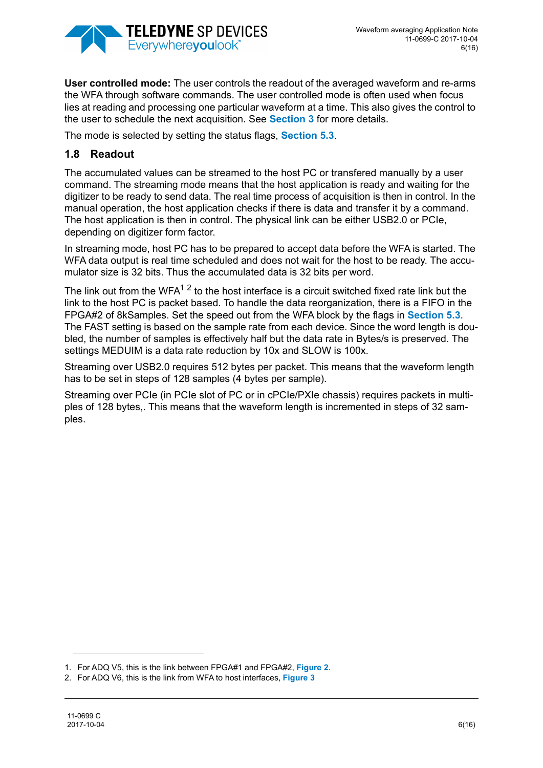

**User controlled mode:** The user controls the readout of the averaged waveform and re-arms the WFA through software commands. The user controlled mode is often used when focus lies at reading and processing one particular waveform at a time. This also gives the control to the user to schedule the next acquisition. See **[Section 3](#page-7-0)** for more details.

The mode is selected by setting the status flags, **[Section 5.3](#page-11-1)**.

# **1.8 Readout**

The accumulated values can be streamed to the host PC or transfered manually by a user command. The streaming mode means that the host application is ready and waiting for the digitizer to be ready to send data. The real time process of acquisition is then in control. In the manual operation, the host application checks if there is data and transfer it by a command. The host application is then in control. The physical link can be either USB2.0 or PCIe, depending on digitizer form factor.

In streaming mode, host PC has to be prepared to accept data before the WFA is started. The WFA data output is real time scheduled and does not wait for the host to be ready. The accumulator size is 32 bits. Thus the accumulated data is 32 bits per word.

The link out from the WFA $12$  to the host interface is a circuit switched fixed rate link but the link to the host PC is packet based. To handle the data reorganization, there is a FIFO in the FPGA#2 of 8kSamples. Set the speed out from the WFA block by the flags in **[Section 5.3](#page-11-1)**. The FAST setting is based on the sample rate from each device. Since the word length is doubled, the number of samples is effectively half but the data rate in Bytes/s is preserved. The settings MEDUIM is a data rate reduction by 10x and SLOW is 100x.

Streaming over USB2.0 requires 512 bytes per packet. This means that the waveform length has to be set in steps of 128 samples (4 bytes per sample).

Streaming over PCIe (in PCIe slot of PC or in cPCIe/PXIe chassis) requires packets in multiples of 128 bytes,. This means that the waveform length is incremented in steps of 32 samples.

<sup>1.</sup> For ADQ V5, this is the link between FPGA#1 and FPGA#2, **[Figure 2](#page-3-0)**.

<sup>2.</sup> For ADQ V6, this is the link from WFA to host interfaces, **[Figure 3](#page-4-0)**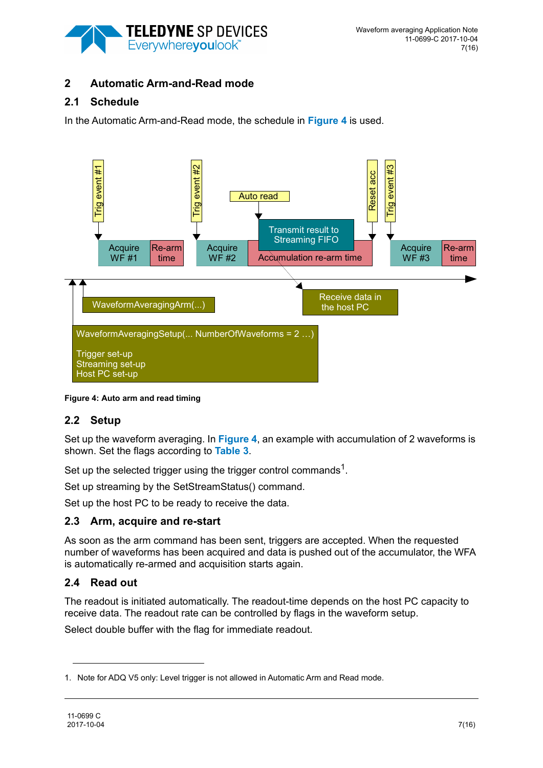

# <span id="page-6-0"></span>**2 Automatic Arm-and-Read mode**

# **2.1 Schedule**

In the Automatic Arm-and-Read mode, the schedule in **[Figure 4](#page-6-1)** is used.



<span id="page-6-1"></span>**Figure 4: Auto arm and read timing** 

# **2.2 Setup**

Set up the waveform averaging. In **[Figure 4](#page-6-1)**, an example with accumulation of 2 waveforms is shown. Set the flags according to **[Table 3](#page-11-0)**.

Set up the selected trigger using the trigger control commands<sup>1</sup>.

Set up streaming by the SetStreamStatus() command.

Set up the host PC to be ready to receive the data.

# **2.3 Arm, acquire and re-start**

As soon as the arm command has been sent, triggers are accepted. When the requested number of waveforms has been acquired and data is pushed out of the accumulator, the WFA is automatically re-armed and acquisition starts again.

# **2.4 Read out**

The readout is initiated automatically. The readout-time depends on the host PC capacity to receive data. The readout rate can be controlled by flags in the waveform setup.

Select double buffer with the flag for immediate readout.

<sup>1.</sup> Note for ADQ V5 only: Level trigger is not allowed in Automatic Arm and Read mode.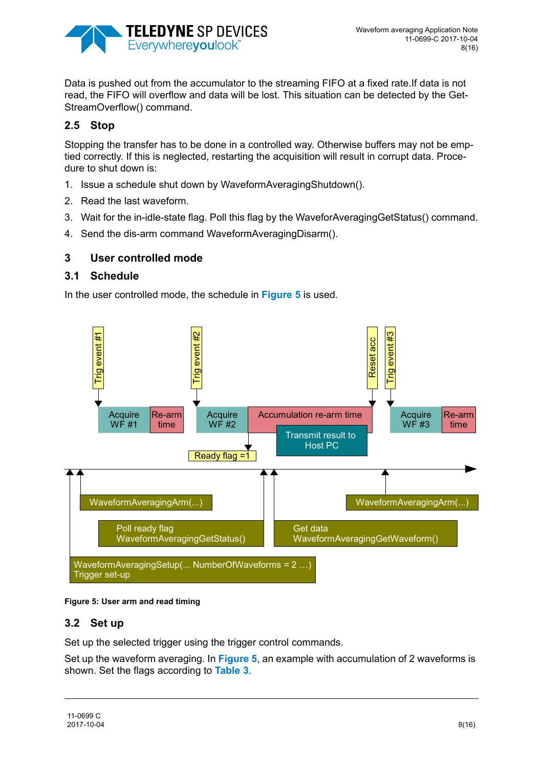

Data is pushed out from the accumulator to the streaming FIFO at a fixed rate.If data is not read, the FIFO will overflow and data will be lost. This situation can be detected by the Get-StreamOverflow() command.

# **2.5 Stop**

Stopping the transfer has to be done in a controlled way. Otherwise buffers may not be emptied correctly. If this is neglected, restarting the acquisition will result in corrupt data. Procedure to shut down is:

- 1. Issue a schedule shut down by WaveformAveragingShutdown().
- 2. Read the last waveform.
- 3. Wait for the in-idle-state flag. Poll this flag by the WaveforAveragingGetStatus() command.
- 4. Send the dis-arm command WaveformAveragingDisarm().

## <span id="page-7-0"></span>**3 User controlled mode**

#### **3.1 Schedule**

In the user controlled mode, the schedule in **[Figure 5](#page-7-1)** is used.



#### <span id="page-7-1"></span>**Figure 5: User arm and read timing**

#### **3.2 Set up**

Set up the selected trigger using the trigger control commands.

Set up the waveform averaging. In **[Figure 5](#page-7-1)**, an example with accumulation of 2 waveforms is shown. Set the flags according to **[Table 3](#page-11-0)**.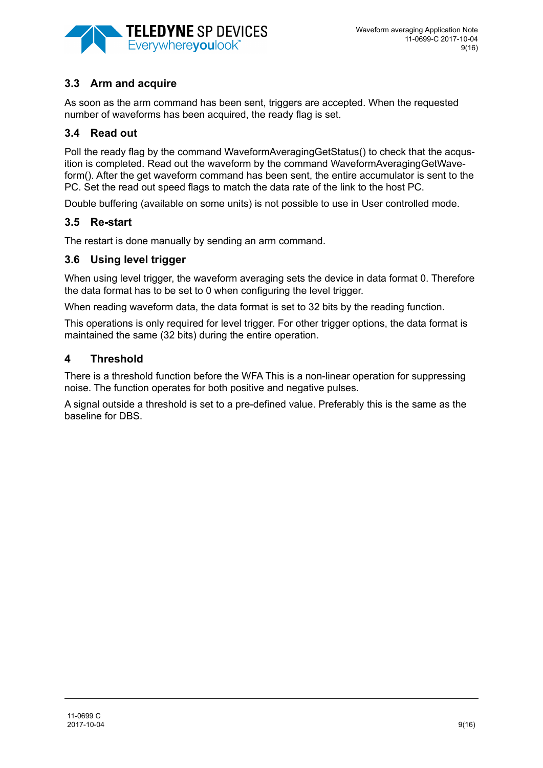

# **3.3 Arm and acquire**

As soon as the arm command has been sent, triggers are accepted. When the requested number of waveforms has been acquired, the ready flag is set.

## **3.4 Read out**

Poll the ready flag by the command WaveformAveragingGetStatus() to check that the acqusition is completed. Read out the waveform by the command WaveformAveragingGetWaveform(). After the get waveform command has been sent, the entire accumulator is sent to the PC. Set the read out speed flags to match the data rate of the link to the host PC.

Double buffering (available on some units) is not possible to use in User controlled mode.

## **3.5 Re-start**

The restart is done manually by sending an arm command.

## **3.6 Using level trigger**

When using level trigger, the waveform averaging sets the device in data format 0. Therefore the data format has to be set to 0 when configuring the level trigger.

When reading waveform data, the data format is set to 32 bits by the reading function.

This operations is only required for level trigger. For other trigger options, the data format is maintained the same (32 bits) during the entire operation.

## **4 Threshold**

There is a threshold function before the WFA This is a non-linear operation for suppressing noise. The function operates for both positive and negative pulses.

A signal outside a threshold is set to a pre-defined value. Preferably this is the same as the baseline for DBS.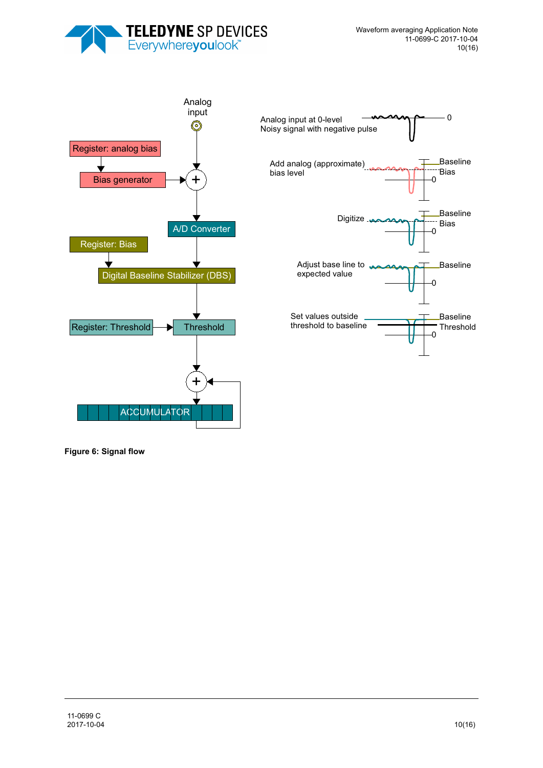





**Figure 6: Signal flow**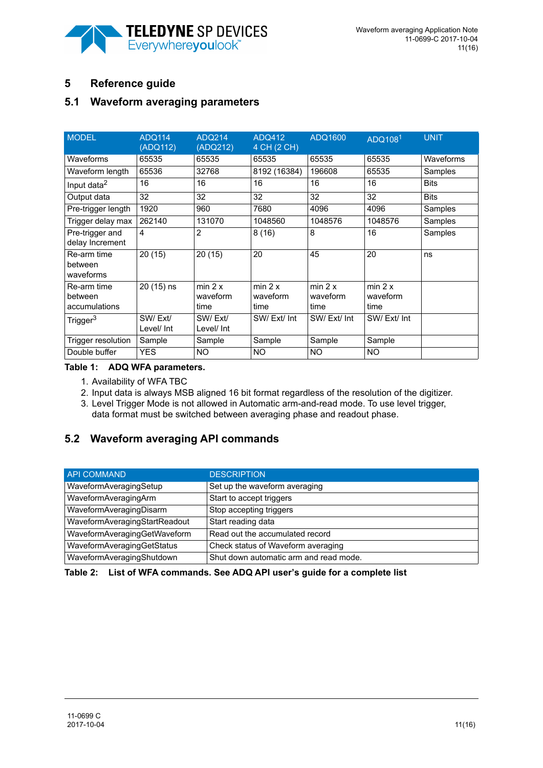

# **5 Reference guide**

# **5.1 Waveform averaging parameters**

| <b>MODEL</b>                            | <b>ADQ114</b><br>(ADQ112) | <b>ADQ214</b><br>(ADQ212)   | <b>ADQ412</b><br>4 CH (2 CH) | ADQ1600                     | ADQ108 <sup>1</sup>         | UNIT        |
|-----------------------------------------|---------------------------|-----------------------------|------------------------------|-----------------------------|-----------------------------|-------------|
| Waveforms                               | 65535                     | 65535                       | 65535                        | 65535                       | 65535                       | Waveforms   |
| Waveform length                         | 65536                     | 32768                       | 8192 (16384)                 | 196608                      | 65535                       | Samples     |
| Input data <sup>2</sup>                 | 16                        | 16                          | 16                           | 16                          | 16                          | <b>Bits</b> |
| Output data                             | 32                        | 32                          | 32                           | 32                          | 32                          | <b>Bits</b> |
| Pre-trigger length                      | 1920                      | 960                         | 7680                         | 4096                        | 4096                        | Samples     |
| Trigger delay max                       | 262140                    | 131070                      | 1048560                      | 1048576                     | 1048576                     | Samples     |
| Pre-trigger and<br>delay Increment      | 4                         | $\overline{2}$              | 8(16)                        | 8                           | 16                          | Samples     |
| Re-arm time<br>between<br>waveforms     | 20(15)                    | 20(15)                      | 20                           | 45                          | 20                          | ns          |
| Re-arm time<br>between<br>accumulations | 20 (15) ns                | min 2 x<br>waveform<br>time | min 2 x<br>waveform<br>time  | min 2 x<br>waveform<br>time | min 2 x<br>waveform<br>time |             |
| Trigger <sup>3</sup>                    | SW/Ext/<br>Level/ Int     | SW/Ext/<br>Level/ Int       | SW/Ext/Int                   | SW/Ext/Int                  | SW/Ext/Int                  |             |
| Trigger resolution                      | Sample                    | Sample                      | Sample                       | Sample                      | Sample                      |             |
| Double buffer                           | <b>YES</b>                | <b>NO</b>                   | <b>NO</b>                    | NO.                         | NO.                         |             |

#### <span id="page-10-0"></span>**Table 1: ADQ WFA parameters.**

- 1. Availability of WFA TBC
- 2. Input data is always MSB aligned 16 bit format regardless of the resolution of the digitizer.
- 3. Level Trigger Mode is not allowed in Automatic arm-and-read mode. To use level trigger, data format must be switched between averaging phase and readout phase.

# **5.2 Waveform averaging API commands**

| <b>API COMMAND</b>            | <b>DESCRIPTION</b>                     |
|-------------------------------|----------------------------------------|
| WaveformAveragingSetup        | Set up the waveform averaging          |
| WaveformAveragingArm          | Start to accept triggers               |
| WaveformAveragingDisarm       | Stop accepting triggers                |
| WaveformAveragingStartReadout | Start reading data                     |
| WaveformAveragingGetWaveform  | Read out the accumulated record        |
| WaveformAveragingGetStatus    | Check status of Waveform averaging     |
| WaveformAveragingShutdown     | Shut down automatic arm and read mode. |

#### **Table 2: List of WFA commands. See ADQ API user's guide for a complete list**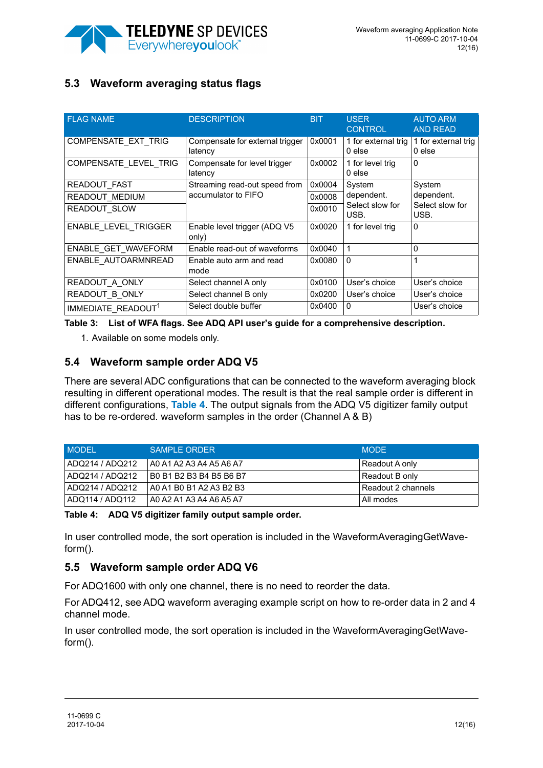

# <span id="page-11-1"></span>**5.3 Waveform averaging status flags**

| <b>FLAG NAME</b>               | <b>DESCRIPTION</b>                         | <b>BIT</b> | <b>USER</b><br><b>CONTROL</b>   | <b>AUTO ARM</b><br><b>AND READ</b> |
|--------------------------------|--------------------------------------------|------------|---------------------------------|------------------------------------|
| COMPENSATE_EXT_TRIG            | Compensate for external trigger<br>latency | 0x0001     | 1 for external trig<br>$0$ else | 1 for external trig<br>$0$ else    |
| COMPENSATE LEVEL TRIG          | Compensate for level trigger<br>latency    | 0x0002     | 1 for level trig<br>$0$ else    | $\Omega$                           |
| READOUT FAST                   | Streaming read-out speed from              | 0x0004     | System                          | System                             |
| READOUT MEDIUM                 | accumulator to FIFO                        | 0x0008     | dependent.                      | dependent.                         |
| READOUT SLOW                   |                                            | 0x0010     | Select slow for<br>USB.         | Select slow for<br>USB.            |
| ENABLE LEVEL TRIGGER           | Enable level trigger (ADQ V5<br>only)      | 0x0020     | 1 for level trig                | $\Omega$                           |
| ENABLE GET WAVEFORM            | Enable read-out of waveforms               | 0x0040     |                                 | 0                                  |
| ENABLE AUTOARMNREAD            | Enable auto arm and read<br>mode           | 0x0080     | $\Omega$                        | 1                                  |
| READOUT A ONLY                 | Select channel A only                      | 0x0100     | User's choice                   | User's choice                      |
| READOUT B ONLY                 | Select channel B only                      | 0x0200     | User's choice                   | User's choice                      |
| IMMEDIATE READOUT <sup>1</sup> | Select double buffer                       | 0x0400     | 0                               | User's choice                      |

<span id="page-11-0"></span>**Table 3: List of WFA flags. See ADQ API user's guide for a comprehensive description.** 

1. Available on some models only.

## **5.4 Waveform sample order ADQ V5**

There are several ADC configurations that can be connected to the waveform averaging block resulting in different operational modes. The result is that the real sample order is different in different configurations, **[Table 4](#page-11-2)**. The output signals from the ADQ V5 digitizer family output has to be re-ordered. waveform samples in the order (Channel A & B)

| <b>MODEL</b>    | <b>SAMPLE ORDER</b>     | <b>MODE</b>           |
|-----------------|-------------------------|-----------------------|
| ADQ214 / ADQ212 | A0 A1 A2 A3 A4 A5 A6 A7 | Readout A only        |
| ADQ214 / ADQ212 | B0 B1 B2 B3 B4 B5 B6 B7 | Readout B only        |
| ADQ214 / ADQ212 | A0 A1 B0 B1 A2 A3 B2 B3 | l Readout 2 channels. |
| ADQ114 / ADQ112 | A0 A2 A1 A3 A4 A6 A5 A7 | All modes             |

<span id="page-11-2"></span>**Table 4: ADQ V5 digitizer family output sample order.** 

In user controlled mode, the sort operation is included in the WaveformAveragingGetWaveform().

# **5.5 Waveform sample order ADQ V6**

For ADQ1600 with only one channel, there is no need to reorder the data.

For ADQ412, see ADQ waveform averaging example script on how to re-order data in 2 and 4 channel mode.

In user controlled mode, the sort operation is included in the WaveformAveragingGetWaveform().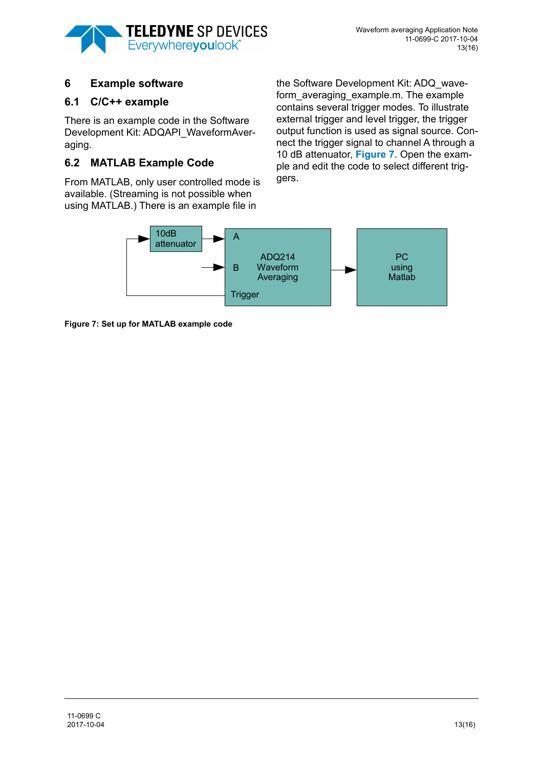

# **6 Example software**

## **6.1 C/C++ example**

There is an example code in the Software Development Kit: ADQAPI\_WaveformAveraging.

# **6.2 MATLAB Example Code**

From MATLAB, only user controlled mode is available. (Streaming is not possible when using MATLAB.) There is an example file in

the Software Development Kit: ADQ\_waveform averaging example.m. The example contains several trigger modes. To illustrate external trigger and level trigger, the trigger output function is used as signal source. Connect the trigger signal to channel A through a 10 dB attenuator, **[Figure 7](#page-12-0)**. Open the example and edit the code to select different triggers.



<span id="page-12-0"></span>**Figure 7: Set up for MATLAB example code**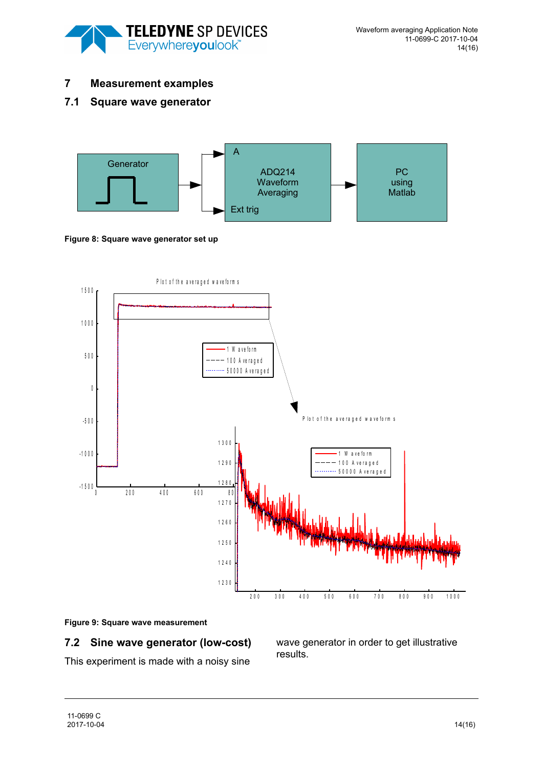

## **7 Measurement examples**

## **7.1 Square wave generator**



#### **Figure 8: Square wave generator set up**



#### **Figure 9: Square wave measurement**

#### **7.2 Sine wave generator (low-cost)**

This experiment is made with a noisy sine

wave generator in order to get illustrative results.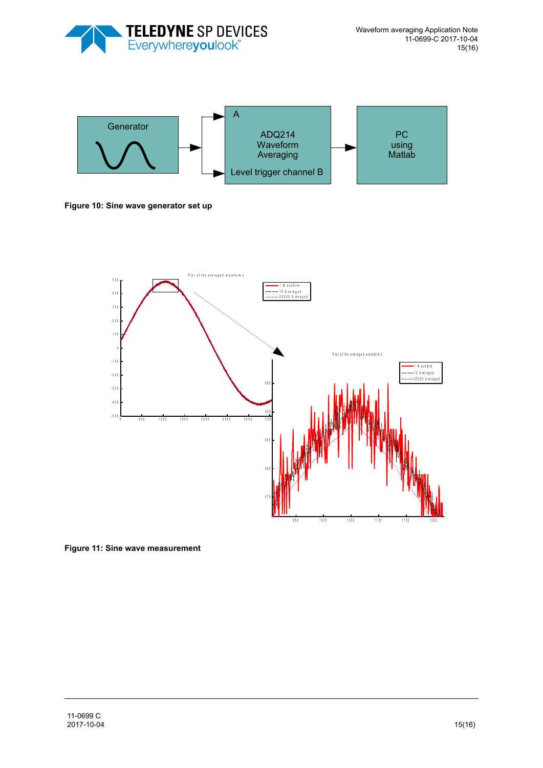



**Figure 10: Sine wave generator set up** 



**Figure 11: Sine wave measurement**